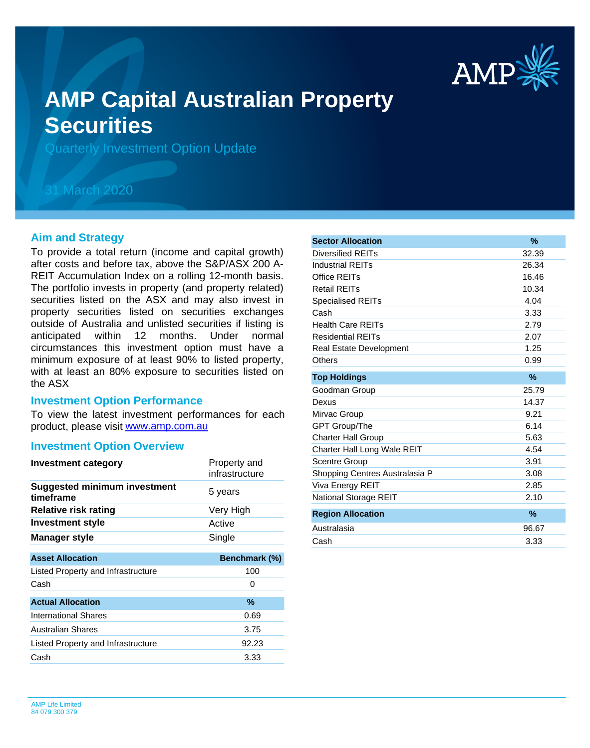

# **AMP Capital Australian Property Securities**

Quarterly Investment Option Update

## 31 March 2020

#### **Aim and Strategy**

To provide a total return (income and capital growth) after costs and before tax, above the S&P/ASX 200 A-REIT Accumulation Index on a rolling 12-month basis. The portfolio invests in property (and property related) securities listed on the ASX and may also invest in property securities listed on securities exchanges outside of Australia and unlisted securities if listing is anticipated within 12 months. Under normal circumstances this investment option must have a minimum exposure of at least 90% to listed property, with at least an 80% exposure to securities listed on the ASX

#### **Investment Option Performance**

product, please visit [www.amp.com.au](https://www.amp.com.au) To view the latest investment performances for each

#### **Investment Option Overview**

| Investment category                              | Property and<br>infrastructure |
|--------------------------------------------------|--------------------------------|
| <b>Suggested minimum investment</b><br>timeframe | 5 years                        |
| <b>Relative risk rating</b>                      | Very High                      |
| <b>Investment style</b>                          | Active                         |
| <b>Manager style</b>                             | Single                         |
|                                                  |                                |
| <b>Asset Allocation</b>                          | Benchmark (%)                  |
| Listed Property and Infrastructure               | 100                            |
| Cash                                             | 0                              |
| <b>Actual Allocation</b>                         | $\%$                           |
| <b>International Shares</b>                      | 0.69                           |
| <b>Australian Shares</b>                         | 3.75                           |
| Listed Property and Infrastructure               | 92.23                          |
| Cash                                             | 3.33                           |

| <b>Sector Allocation</b>       | $\frac{9}{6}$ |
|--------------------------------|---------------|
| Diversified REITs              | 32.39         |
| <b>Industrial REITs</b>        | 26.34         |
| Office REITs                   | 16.46         |
| <b>Retail REITs</b>            | 10.34         |
| <b>Specialised REITs</b>       | 4.04          |
| Cash                           | 3.33          |
| <b>Health Care REITs</b>       | 2.79          |
| <b>Residential REITs</b>       | 2.07          |
| <b>Real Estate Development</b> | 1.25          |
| Others                         | 0.99          |
| <b>Top Holdings</b>            | $\%$          |
| Goodman Group                  | 25.79         |
| Dexus                          | 14.37         |
| Mirvac Group                   | 9.21          |
| <b>GPT Group/The</b>           | 6.14          |
| <b>Charter Hall Group</b>      | 5.63          |
| Charter Hall Long Wale REIT    | 4.54          |
| <b>Scentre Group</b>           | 3.91          |
| Shopping Centres Australasia P | 3.08          |
| Viva Energy REIT               | 2.85          |
| <b>National Storage REIT</b>   | 2.10          |
| <b>Region Allocation</b>       | $\%$          |
| Australasia                    | 96.67         |
| Cash                           | 3.33          |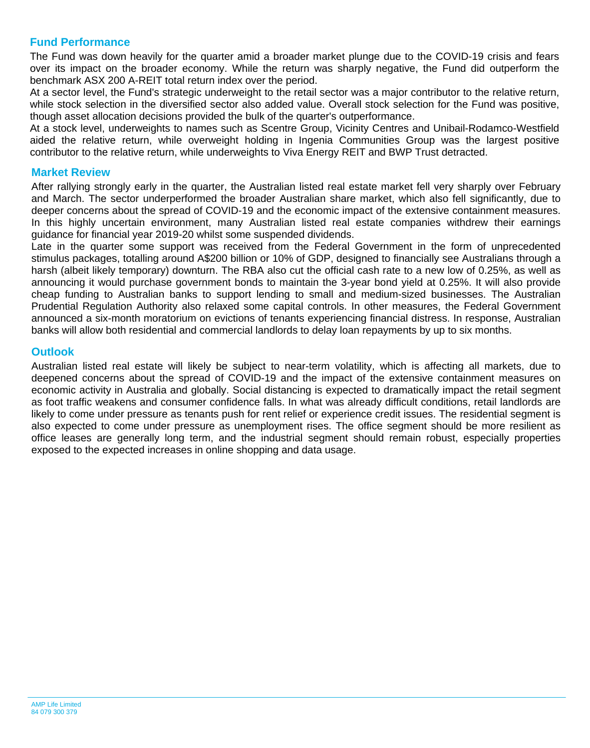### **Fund Performance**

The Fund was down heavily for the quarter amid a broader market plunge due to the COVID-19 crisis and fears over its impact on the broader economy. While the return was sharply negative, the Fund did outperform the benchmark ASX 200 A-REIT total return index over the period.

At a sector level, the Fund's strategic underweight to the retail sector was a major contributor to the relative return, while stock selection in the diversified sector also added value. Overall stock selection for the Fund was positive, though asset allocation decisions provided the bulk of the quarter's outperformance.

At a stock level, underweights to names such as Scentre Group, Vicinity Centres and Unibail-Rodamco-Westfield aided the relative return, while overweight holding in Ingenia Communities Group was the largest positive contributor to the relative return, while underweights to Viva Energy REIT and BWP Trust detracted.

#### **Market Review**

After rallying strongly early in the quarter, the Australian listed real estate market fell very sharply over February and March. The sector underperformed the broader Australian share market, which also fell significantly, due to deeper concerns about the spread of COVID-19 and the economic impact of the extensive containment measures. In this highly uncertain environment, many Australian listed real estate companies withdrew their earnings guidance for financial year 2019-20 whilst some suspended dividends.

Late in the quarter some support was received from the Federal Government in the form of unprecedented stimulus packages, totalling around A\$200 billion or 10% of GDP, designed to financially see Australians through a harsh (albeit likely temporary) downturn. The RBA also cut the official cash rate to a new low of 0.25%, as well as announcing it would purchase government bonds to maintain the 3-year bond yield at 0.25%. It will also provide cheap funding to Australian banks to support lending to small and medium-sized businesses. The Australian Prudential Regulation Authority also relaxed some capital controls. In other measures, the Federal Government announced a six-month moratorium on evictions of tenants experiencing financial distress. In response, Australian banks will allow both residential and commercial landlords to delay loan repayments by up to six months.

#### **Outlook**

Australian listed real estate will likely be subject to near-term volatility, which is affecting all markets, due to deepened concerns about the spread of COVID-19 and the impact of the extensive containment measures on economic activity in Australia and globally. Social distancing is expected to dramatically impact the retail segment as foot traffic weakens and consumer confidence falls. In what was already difficult conditions, retail landlords are likely to come under pressure as tenants push for rent relief or experience credit issues. The residential segment is also expected to come under pressure as unemployment rises. The office segment should be more resilient as office leases are generally long term, and the industrial segment should remain robust, especially properties exposed to the expected increases in online shopping and data usage.